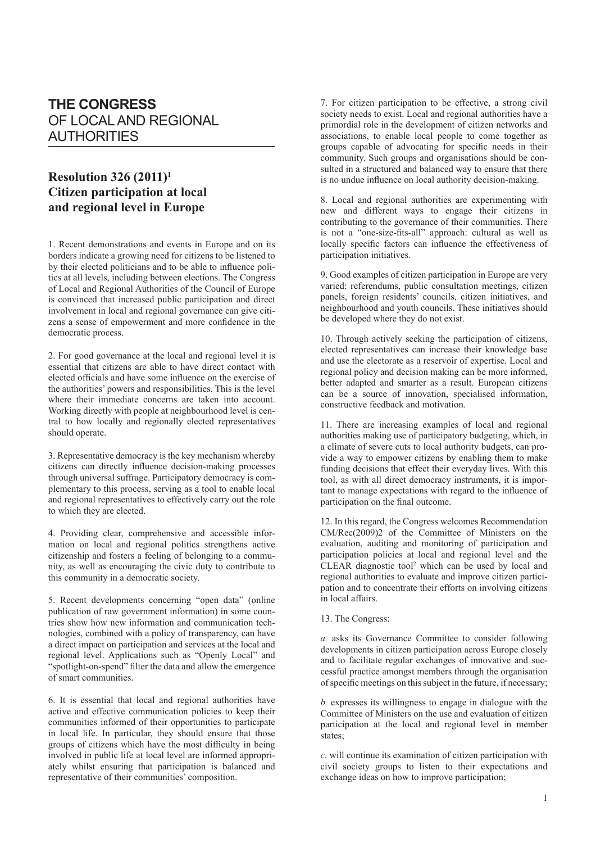## **THE CONGRESS** OF LOCAL AND REGIONAL AUTHORITIES

## **Resolution 326 (2011)1 Citizen participation at local and regional level in Europe**

1. Recent demonstrations and events in Europe and on its borders indicate a growing need for citizens to be listened to by their elected politicians and to be able to influence politics at all levels, including between elections. The Congress of Local and Regional Authorities of the Council of Europe is convinced that increased public participation and direct involvement in local and regional governance can give citizens a sense of empowerment and more confidence in the democratic process.

2. For good governance at the local and regional level it is essential that citizens are able to have direct contact with elected officials and have some influence on the exercise of the authorities' powers and responsibilities. This is the level where their immediate concerns are taken into account. Working directly with people at neighbourhood level is central to how locally and regionally elected representatives should operate.

3. Representative democracy is the key mechanism whereby citizens can directly influence decision-making processes through universal suffrage. Participatory democracy is complementary to this process, serving as a tool to enable local and regional representatives to effectively carry out the role to which they are elected.

4. Providing clear, comprehensive and accessible information on local and regional politics strengthens active citizenship and fosters a feeling of belonging to a community, as well as encouraging the civic duty to contribute to this community in a democratic society.

5. Recent developments concerning "open data" (online publication of raw government information) in some countries show how new information and communication technologies, combined with a policy of transparency, can have a direct impact on participation and services at the local and regional level. Applications such as "Openly Local" and "spotlight-on-spend" filter the data and allow the emergence of smart communities.

6. It is essential that local and regional authorities have active and effective communication policies to keep their communities informed of their opportunities to participate in local life. In particular, they should ensure that those groups of citizens which have the most difficulty in being involved in public life at local level are informed appropriately whilst ensuring that participation is balanced and representative of their communities' composition.

7. For citizen participation to be effective, a strong civil society needs to exist. Local and regional authorities have a primordial role in the development of citizen networks and associations, to enable local people to come together as groups capable of advocating for specific needs in their community. Such groups and organisations should be consulted in a structured and balanced way to ensure that there is no undue influence on local authority decision-making.

8. Local and regional authorities are experimenting with new and different ways to engage their citizens in contributing to the governance of their communities. There is not a "one-size-fits-all" approach: cultural as well as locally specific factors can influence the effectiveness of participation initiatives.

9. Good examples of citizen participation in Europe are very varied: referendums, public consultation meetings, citizen panels, foreign residents' councils, citizen initiatives, and neighbourhood and youth councils. These initiatives should be developed where they do not exist.

10. Through actively seeking the participation of citizens, elected representatives can increase their knowledge base and use the electorate as a reservoir of expertise. Local and regional policy and decision making can be more informed, better adapted and smarter as a result. European citizens can be a source of innovation, specialised information, constructive feedback and motivation.

11. There are increasing examples of local and regional authorities making use of participatory budgeting, which, in a climate of severe cuts to local authority budgets, can provide a way to empower citizens by enabling them to make funding decisions that effect their everyday lives. With this tool, as with all direct democracy instruments, it is important to manage expectations with regard to the influence of participation on the final outcome.

12. In this regard, the Congress welcomes Recommendation CM/Rec(2009)2 of the Committee of Ministers on the evaluation, auditing and monitoring of participation and participation policies at local and regional level and the CLEAR diagnostic tool<sup>2</sup> which can be used by local and regional authorities to evaluate and improve citizen participation and to concentrate their efforts on involving citizens in local affairs.

## 13. The Congress:

*a.* asks its Governance Committee to consider following developments in citizen participation across Europe closely and to facilitate regular exchanges of innovative and successful practice amongst members through the organisation of specific meetings on this subject in the future, if necessary;

*b.* expresses its willingness to engage in dialogue with the Committee of Ministers on the use and evaluation of citizen participation at the local and regional level in member states;

*c*. will continue its examination of citizen participation with civil society groups to listen to their expectations and exchange ideas on how to improve participation;